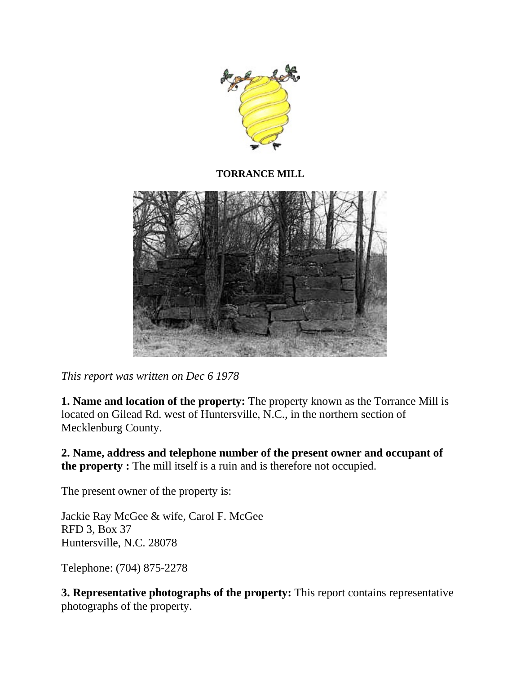

**TORRANCE MILL**



*This report was written on Dec 6 1978*

**1. Name and location of the property:** The property known as the Torrance Mill is located on Gilead Rd. west of Huntersville, N.C., in the northern section of Mecklenburg County.

**2. Name, address and telephone number of the present owner and occupant of the property :** The mill itself is a ruin and is therefore not occupied.

The present owner of the property is:

Jackie Ray McGee & wife, Carol F. McGee RFD 3, Box 37 Huntersville, N.C. 28078

Telephone: (704) 875-2278

**3. Representative photographs of the property:** This report contains representative photographs of the property.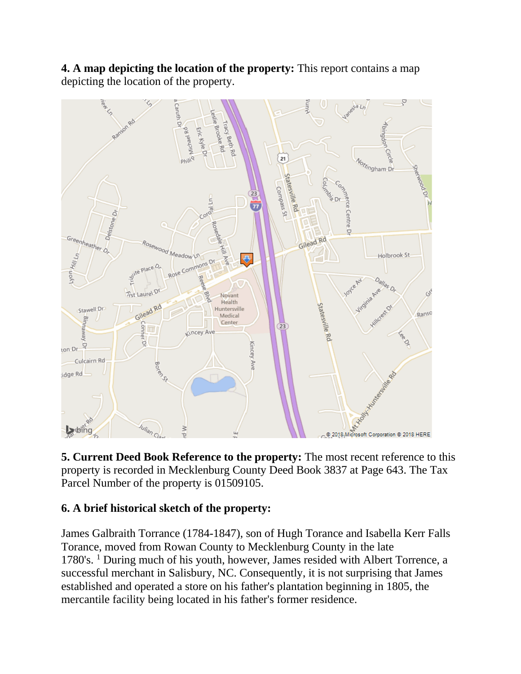**4. A map depicting the location of the property:** This report contains a map depicting the location of the property.



**5. Current Deed Book Reference to the property:** The most recent reference to this property is recorded in Mecklenburg County Deed Book 3837 at Page 643. The Tax Parcel Number of the property is 01509105.

## **6. A brief historical sketch of the property:**

James Galbraith Torrance (1784-1847), son of Hugh Torance and Isabella Kerr Falls Torance, moved from Rowan County to Mecklenburg County in the late 1780's. <sup>1</sup> During much of his youth, however, James resided with Albert Torrence, a successful merchant in Salisbury, NC. Consequently, it is not surprising that James established and operated a store on his father's plantation beginning in 1805, the mercantile facility being located in his father's former residence.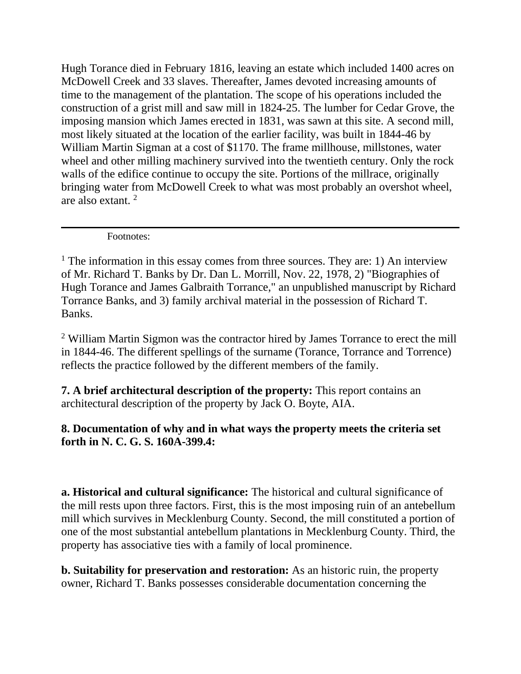Hugh Torance died in February 1816, leaving an estate which included 1400 acres on McDowell Creek and 33 slaves. Thereafter, James devoted increasing amounts of time to the management of the plantation. The scope of his operations included the construction of a grist mill and saw mill in 1824-25. The lumber for Cedar Grove, the imposing mansion which James erected in 1831, was sawn at this site. A second mill, most likely situated at the location of the earlier facility, was built in 1844-46 by William Martin Sigman at a cost of \$1170. The frame millhouse, millstones, water wheel and other milling machinery survived into the twentieth century. Only the rock walls of the edifice continue to occupy the site. Portions of the millrace, originally bringing water from McDowell Creek to what was most probably an overshot wheel, are also extant. <sup>2</sup>

Footnotes:

<sup>2</sup> William Martin Sigmon was the contractor hired by James Torrance to erect the mill in 1844-46. The different spellings of the surname (Torance, Torrance and Torrence) reflects the practice followed by the different members of the family.

**7. A brief architectural description of the property:** This report contains an architectural description of the property by Jack O. Boyte, AIA.

## **8. Documentation of why and in what ways the property meets the criteria set forth in N. C. G. S. 160A-399.4:**

**a. Historical and cultural significance:** The historical and cultural significance of the mill rests upon three factors. First, this is the most imposing ruin of an antebellum mill which survives in Mecklenburg County. Second, the mill constituted a portion of one of the most substantial antebellum plantations in Mecklenburg County. Third, the property has associative ties with a family of local prominence.

**b. Suitability for preservation and restoration:** As an historic ruin, the property owner, Richard T. Banks possesses considerable documentation concerning the

<sup>&</sup>lt;sup>1</sup> The information in this essay comes from three sources. They are: 1) An interview of Mr. Richard T. Banks by Dr. Dan L. Morrill, Nov. 22, 1978, 2) "Biographies of Hugh Torance and James Galbraith Torrance," an unpublished manuscript by Richard Torrance Banks, and 3) family archival material in the possession of Richard T. Banks.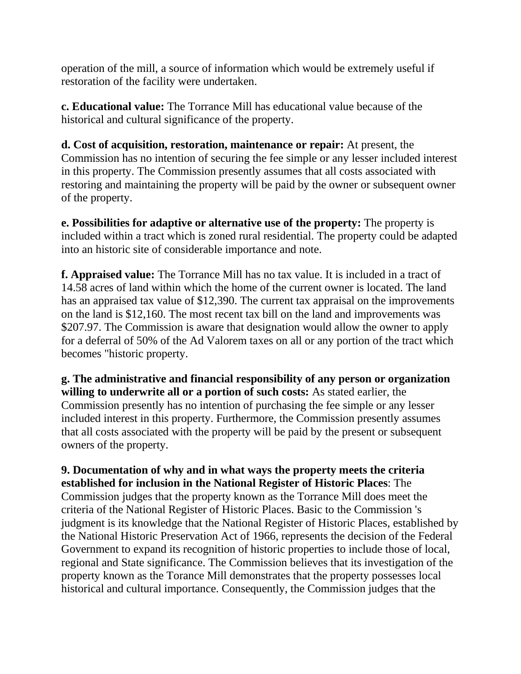operation of the mill, a source of information which would be extremely useful if restoration of the facility were undertaken.

**c. Educational value:** The Torrance Mill has educational value because of the historical and cultural significance of the property.

**d. Cost of acquisition, restoration, maintenance or repair:** At present, the Commission has no intention of securing the fee simple or any lesser included interest in this property. The Commission presently assumes that all costs associated with restoring and maintaining the property will be paid by the owner or subsequent owner of the property.

**e. Possibilities for adaptive or alternative use of the property:** The property is included within a tract which is zoned rural residential. The property could be adapted into an historic site of considerable importance and note.

**f. Appraised value:** The Torrance Mill has no tax value. It is included in a tract of 14.58 acres of land within which the home of the current owner is located. The land has an appraised tax value of \$12,390. The current tax appraisal on the improvements on the land is \$12,160. The most recent tax bill on the land and improvements was \$207.97. The Commission is aware that designation would allow the owner to apply for a deferral of 50% of the Ad Valorem taxes on all or any portion of the tract which becomes "historic property.

**g. The administrative and financial responsibility of any person or organization willing to underwrite all or a portion of such costs:** As stated earlier, the Commission presently has no intention of purchasing the fee simple or any lesser included interest in this property. Furthermore, the Commission presently assumes that all costs associated with the property will be paid by the present or subsequent owners of the property.

**9. Documentation of why and in what ways the property meets the criteria established for inclusion in the National Register of Historic Places**: The Commission judges that the property known as the Torrance Mill does meet the criteria of the National Register of Historic Places. Basic to the Commission 's judgment is its knowledge that the National Register of Historic Places, established by the National Historic Preservation Act of 1966, represents the decision of the Federal Government to expand its recognition of historic properties to include those of local, regional and State significance. The Commission believes that its investigation of the property known as the Torance Mill demonstrates that the property possesses local historical and cultural importance. Consequently, the Commission judges that the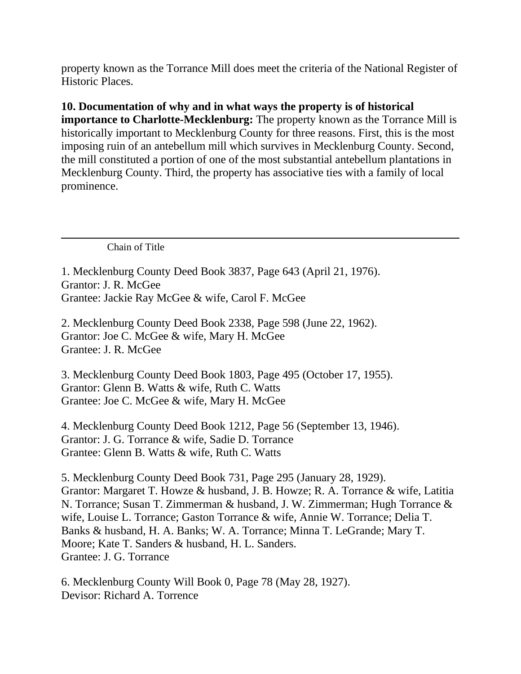property known as the Torrance Mill does meet the criteria of the National Register of Historic Places.

**10. Documentation of why and in what ways the property is of historical importance to Charlotte-Mecklenburg:** The property known as the Torrance Mill is historically important to Mecklenburg County for three reasons. First, this is the most imposing ruin of an antebellum mill which survives in Mecklenburg County. Second, the mill constituted a portion of one of the most substantial antebellum plantations in Mecklenburg County. Third, the property has associative ties with a family of local prominence.

Chain of Title

1. Mecklenburg County Deed Book 3837, Page 643 (April 21, 1976). Grantor: J. R. McGee Grantee: Jackie Ray McGee & wife, Carol F. McGee

2. Mecklenburg County Deed Book 2338, Page 598 (June 22, 1962). Grantor: Joe C. McGee & wife, Mary H. McGee Grantee: J. R. McGee

3. Mecklenburg County Deed Book 1803, Page 495 (October 17, 1955). Grantor: Glenn B. Watts & wife, Ruth C. Watts Grantee: Joe C. McGee & wife, Mary H. McGee

4. Mecklenburg County Deed Book 1212, Page 56 (September 13, 1946). Grantor: J. G. Torrance & wife, Sadie D. Torrance Grantee: Glenn B. Watts & wife, Ruth C. Watts

5. Mecklenburg County Deed Book 731, Page 295 (January 28, 1929). Grantor: Margaret T. Howze & husband, J. B. Howze; R. A. Torrance & wife, Latitia N. Torrance; Susan T. Zimmerman & husband, J. W. Zimmerman; Hugh Torrance & wife, Louise L. Torrance; Gaston Torrance & wife, Annie W. Torrance; Delia T. Banks & husband, H. A. Banks; W. A. Torrance; Minna T. LeGrande; Mary T. Moore; Kate T. Sanders & husband, H. L. Sanders. Grantee: J. G. Torrance

6. Mecklenburg County Will Book 0, Page 78 (May 28, 1927). Devisor: Richard A. Torrence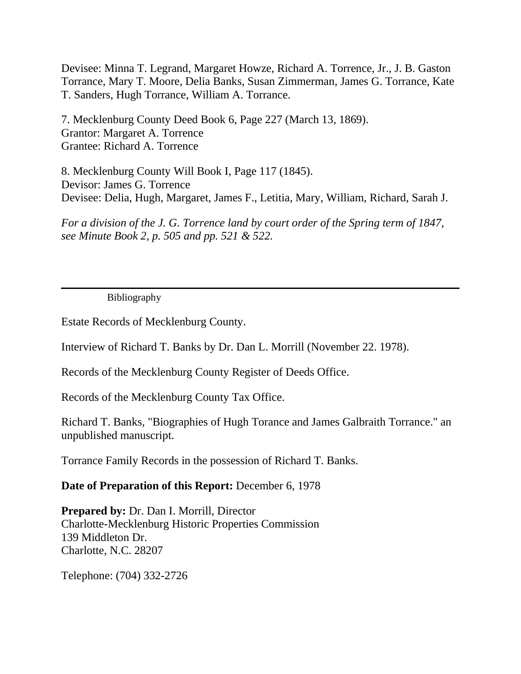Devisee: Minna T. Legrand, Margaret Howze, Richard A. Torrence, Jr., J. B. Gaston Torrance, Mary T. Moore, Delia Banks, Susan Zimmerman, James G. Torrance, Kate T. Sanders, Hugh Torrance, William A. Torrance.

7. Mecklenburg County Deed Book 6, Page 227 (March 13, 1869). Grantor: Margaret A. Torrence Grantee: Richard A. Torrence

8. Mecklenburg County Will Book I, Page 117 (1845). Devisor: James G. Torrence Devisee: Delia, Hugh, Margaret, James F., Letitia, Mary, William, Richard, Sarah J.

*For a division of the J. G. Torrence land by court order of the Spring term of 1847, see Minute Book 2, p. 505 and pp. 521 & 522.*

Bibliography

Estate Records of Mecklenburg County.

Interview of Richard T. Banks by Dr. Dan L. Morrill (November 22. 1978).

Records of the Mecklenburg County Register of Deeds Office.

Records of the Mecklenburg County Tax Office.

Richard T. Banks, "Biographies of Hugh Torance and James Galbraith Torrance." an unpublished manuscript.

Torrance Family Records in the possession of Richard T. Banks.

## **Date of Preparation of this Report:** December 6, 1978

**Prepared by:** Dr. Dan I. Morrill, Director Charlotte-Mecklenburg Historic Properties Commission 139 Middleton Dr. Charlotte, N.C. 28207

Telephone: (704) 332-2726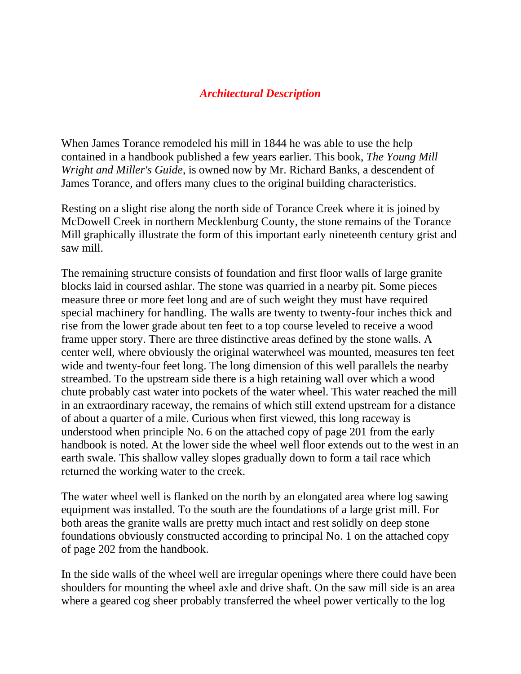## *Architectural Description*

When James Torance remodeled his mill in 1844 he was able to use the help contained in a handbook published a few years earlier. This book, *The Young Mill Wright and Miller's Guide*, is owned now by Mr. Richard Banks, a descendent of James Torance, and offers many clues to the original building characteristics.

Resting on a slight rise along the north side of Torance Creek where it is joined by McDowell Creek in northern Mecklenburg County, the stone remains of the Torance Mill graphically illustrate the form of this important early nineteenth century grist and saw mill.

The remaining structure consists of foundation and first floor walls of large granite blocks laid in coursed ashlar. The stone was quarried in a nearby pit. Some pieces measure three or more feet long and are of such weight they must have required special machinery for handling. The walls are twenty to twenty-four inches thick and rise from the lower grade about ten feet to a top course leveled to receive a wood frame upper story. There are three distinctive areas defined by the stone walls. A center well, where obviously the original waterwheel was mounted, measures ten feet wide and twenty-four feet long. The long dimension of this well parallels the nearby streambed. To the upstream side there is a high retaining wall over which a wood chute probably cast water into pockets of the water wheel. This water reached the mill in an extraordinary raceway, the remains of which still extend upstream for a distance of about a quarter of a mile. Curious when first viewed, this long raceway is understood when principle No. 6 on the attached copy of page 201 from the early handbook is noted. At the lower side the wheel well floor extends out to the west in an earth swale. This shallow valley slopes gradually down to form a tail race which returned the working water to the creek.

The water wheel well is flanked on the north by an elongated area where log sawing equipment was installed. To the south are the foundations of a large grist mill. For both areas the granite walls are pretty much intact and rest solidly on deep stone foundations obviously constructed according to principal No. 1 on the attached copy of page 202 from the handbook.

In the side walls of the wheel well are irregular openings where there could have been shoulders for mounting the wheel axle and drive shaft. On the saw mill side is an area where a geared cog sheer probably transferred the wheel power vertically to the log